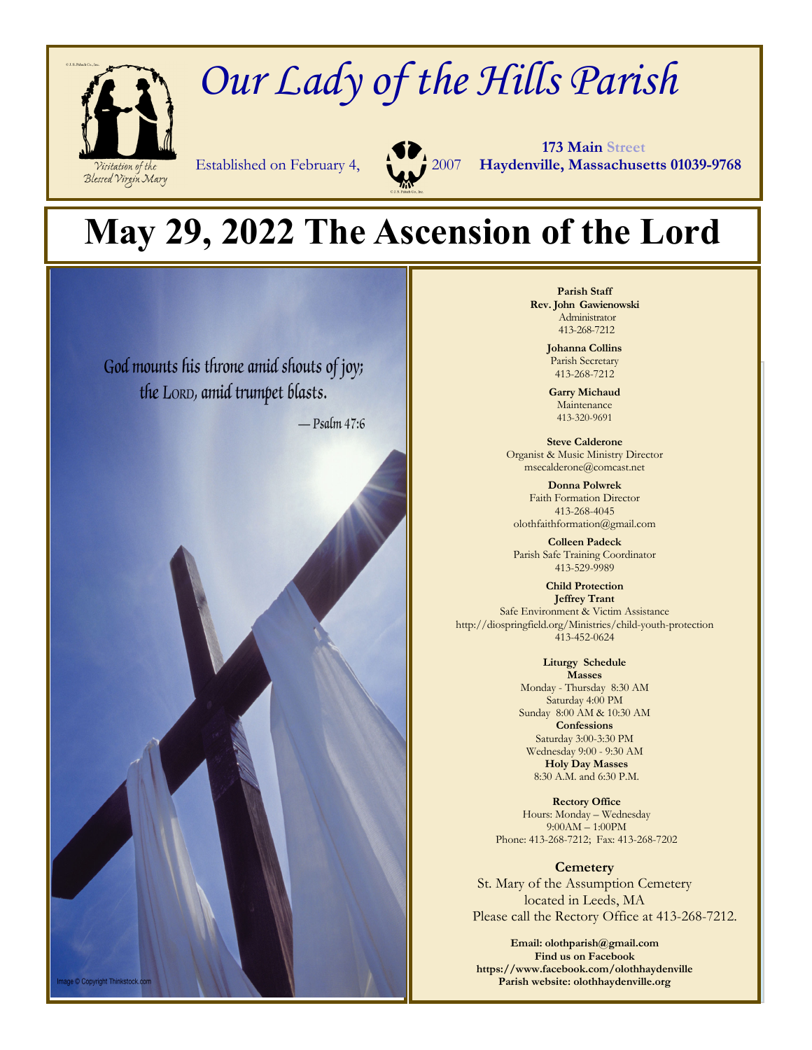

# *Our Lady of the Hills Parish*



 **173 Main Street** Established on February 4, 2007 **Haydenville, Massachusetts 01039-9768**

## **May 29, 2022 The Ascension of the Lord**



**Parish Staff Rev. John Gawienowski** Administrator 413-268-7212

> **Johanna Collins**  Parish Secretary 413-268-7212

**Garry Michaud**  Maintenance 413-320-9691

**Steve Calderone**  Organist & Music Ministry Director msecalderone@comcast.net

**Donna Polwrek**  Faith Formation Director 413-268-4045 olothfaithformation@gmail.com

**Colleen Padeck**  Parish Safe Training Coordinator 413-529-9989

**Child Protection Jeffrey Trant**  Safe Environment & Victim Assistance http://diospringfield.org/Ministries/child-youth-protection 413-452-0624

> **Liturgy Schedule Masses**  Monday - Thursday 8:30 AM Saturday 4:00 PM Sunday 8:00 AM & 10:30 AM **Confessions**  Saturday 3:00-3:30 PM Wednesday 9:00 - 9:30 AM **Holy Day Masses**  8:30 A.M. and 6:30 P.M.

**Rectory Office**  Hours: Monday – Wednesday 9:00AM – 1:00PM Phone: 413-268-7212; Fax: 413-268-7202

**Cemetery**  St. Mary of the Assumption Cemetery located in Leeds, MA Please call the Rectory Office at 413-268-7212.

**Email: olothparish@gmail.com Find us on Facebook https://www.facebook.com/olothhaydenville Parish website: olothhaydenville.org**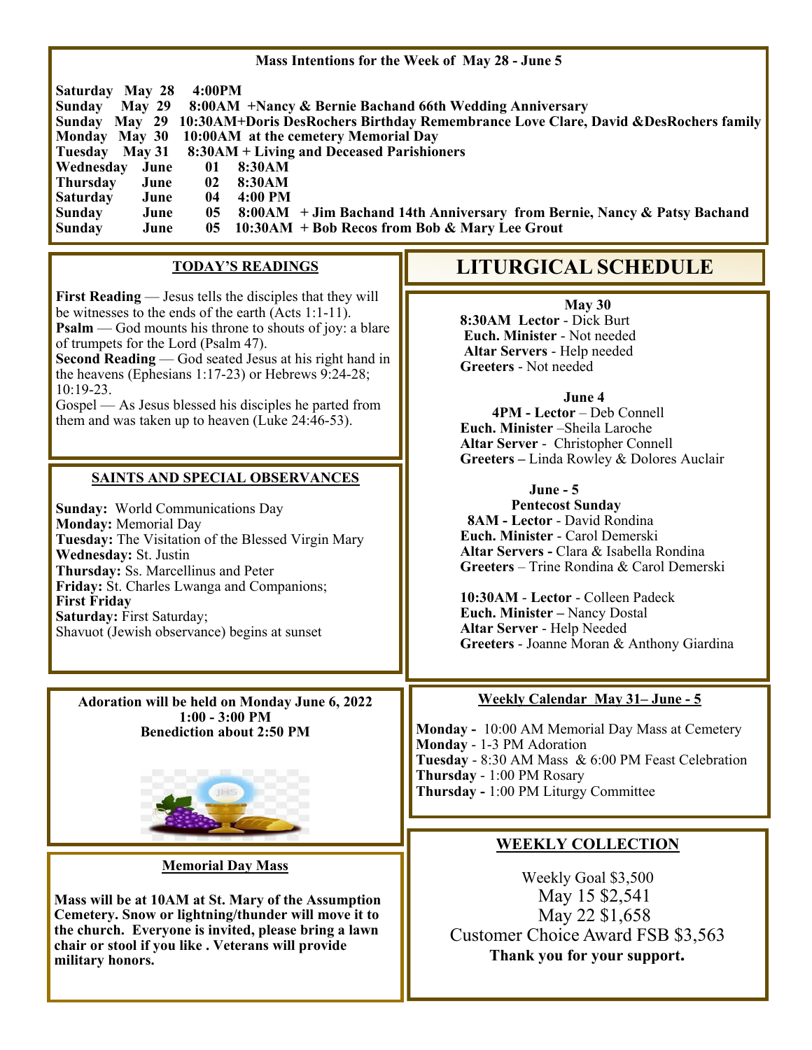#### **Mass Intentions for the Week of May 28 - June 5**

|                  | <b>Saturday May 28</b> | 4:00PM          |                                                                                                    |
|------------------|------------------------|-----------------|----------------------------------------------------------------------------------------------------|
| Sunday           |                        |                 | May 29 8:00AM +Nancy & Bernie Bachand 66th Wedding Anniversary                                     |
|                  |                        |                 | Sunday May 29 10:30 AM+Doris DesRochers Birthday Remembrance Love Clare, David & DesRochers family |
|                  |                        |                 | Monday May 30 10:00 AM at the cemetery Memorial Day                                                |
|                  |                        |                 | Tuesday May 31 8:30AM + Living and Deceased Parishioners                                           |
| <b>Wednesday</b> | June                   | 01              | 8:30AM                                                                                             |
| Thursday         | June                   | $\mathbf{02}$   | 8:30AM                                                                                             |
| <b>Saturday</b>  | June                   | 04              | $4:00 \text{ PM}$                                                                                  |
| Sunday           | June                   | 05 <sub>1</sub> | 8:00AM + Jim Bachand 14th Anniversary from Bernie, Nancy & Patsy Bachand                           |
| Sunday           | June                   |                 | 05 10:30AM + Bob Recos from Bob & Mary Lee Grout                                                   |

#### **TODAY'S READINGS**

**First Reading** — Jesus tells the disciples that they will be witnesses to the ends of the earth (Acts 1:1-11). **Psalm** — God mounts his throne to shouts of joy: a blare of trumpets for the Lord (Psalm 47).

**Second Reading** — God seated Jesus at his right hand in the heavens (Ephesians 1:17-23) or Hebrews 9:24-28; 10:19-23.

Gospel — As Jesus blessed his disciples he parted from them and was taken up to heaven (Luke 24:46-53).

#### **SAINTS AND SPECIAL OBSERVANCES**

**Sunday:** World Communications Day **Monday:** Memorial Day **Tuesday:** The Visitation of the Blessed Virgin Mary **Wednesday:** St. Justin **Thursday:** Ss. Marcellinus and Peter **Friday:** St. Charles Lwanga and Companions; **First Friday Saturday:** First Saturday; Shavuot (Jewish observance) begins at sunset

**Adoration will be held on Monday June 6, 2022 1:00 - 3:00 PM Benediction about 2:50 PM** 



#### **Memorial Day Mass**

**Mass will be at 10AM at St. Mary of the Assumption Cemetery. Snow or lightning/thunder will move it to the church. Everyone is invited, please bring a lawn chair or stool if you like . Veterans will provide military honors.** 

### **LITURGICAL SCHEDULE**

**May 30 8:30AM Lector** - Dick Burt **Euch. Minister** - Not needed **Altar Servers** - Help needed **Greeters** - Not needed

**June 4** 

**4PM - Lector** – Deb Connell  **Euch. Minister** –Sheila Laroche **Altar Server** - Christopher Connell **Greeters –** Linda Rowley & Dolores Auclair

#### **June - 5**

 **Pentecost Sunday 8AM - Lector** - David Rondina **Euch. Minister** - Carol Demerski **Altar Servers -** Clara & Isabella Rondina **Greeters** – Trine Rondina & Carol Demerski

**10:30AM** - **Lector** - Colleen Padeck **Euch. Minister –** Nancy Dostal **Altar Server** - Help Needed **Greeters** - Joanne Moran & Anthony Giardina

#### **Weekly Calendar May 31– June - 5**

**Monday -** 10:00 AM Memorial Day Mass at Cemetery **Monday** - 1-3 PM Adoration **Tuesday** - 8:30 AM Mass & 6:00 PM Feast Celebration **Thursday** - 1:00 PM Rosary **Thursday -** 1:00 PM Liturgy Committee

#### **WEEKLY COLLECTION**

Weekly Goal \$3,500 May 15 \$2,541 May 22 \$1,658 Customer Choice Award FSB \$3,563  **Thank you for your support.**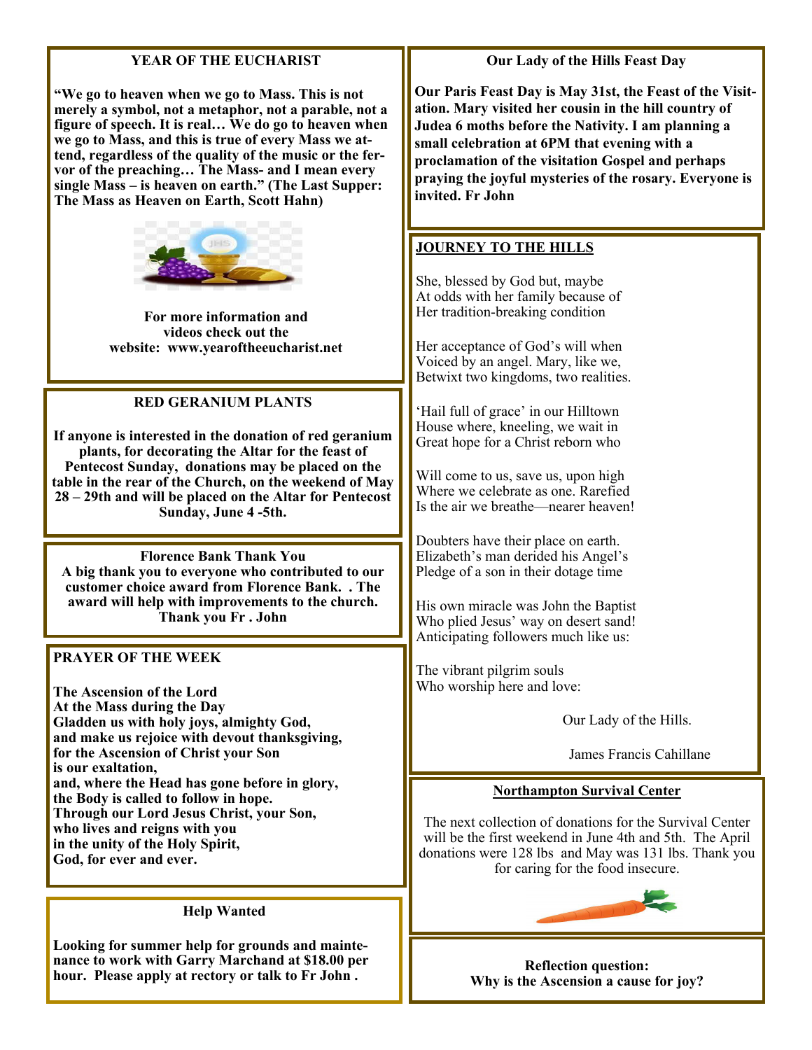#### **YEAR OF THE EUCHARIST**

**"We go to heaven when we go to Mass. This is not merely a symbol, not a metaphor, not a parable, not a figure of speech. It is real… We do go to heaven when we go to Mass, and this is true of every Mass we attend, regardless of the quality of the music or the fervor of the preaching… The Mass- and I mean every single Mass – is heaven on earth." (The Last Supper: The Mass as Heaven on Earth, Scott Hahn)** 



**For more information and videos check out the website: www.yearoftheeucharist.net** 

#### **RED GERANIUM PLANTS**

**If anyone is interested in the donation of red geranium plants, for decorating the Altar for the feast of Pentecost Sunday, donations may be placed on the table in the rear of the Church, on the weekend of May 28 – 29th and will be placed on the Altar for Pentecost Sunday, June 4 -5th.** 

**Florence Bank Thank You A big thank you to everyone who contributed to our customer choice award from Florence Bank. . The award will help with improvements to the church. Thank you Fr . John** 

**PRAYER OF THE WEEK** 

**The Ascension of the Lord At the Mass during the Day Gladden us with holy joys, almighty God, and make us rejoice with devout thanksgiving, for the Ascension of Christ your Son is our exaltation, and, where the Head has gone before in glory, the Body is called to follow in hope. Through our Lord Jesus Christ, your Son, who lives and reigns with you in the unity of the Holy Spirit, God, for ever and ever.** 

#### **Help Wanted**

**Looking for summer help for grounds and maintenance to work with Garry Marchand at \$18.00 per hour. Please apply at rectory or talk to Fr John .** 

#### **Our Lady of the Hills Feast Day**

**Our Paris Feast Day is May 31st, the Feast of the Visitation. Mary visited her cousin in the hill country of Judea 6 moths before the Nativity. I am planning a small celebration at 6PM that evening with a proclamation of the visitation Gospel and perhaps praying the joyful mysteries of the rosary. Everyone is invited. Fr John** 

#### **JOURNEY TO THE HILLS**

She, blessed by God but, maybe At odds with her family because of Her tradition-breaking condition

Her acceptance of God's will when Voiced by an angel. Mary, like we, Betwixt two kingdoms, two realities.

'Hail full of grace' in our Hilltown House where, kneeling, we wait in Great hope for a Christ reborn who

Will come to us, save us, upon high Where we celebrate as one. Rarefied Is the air we breathe—nearer heaven!

Doubters have their place on earth. Elizabeth's man derided his Angel's Pledge of a son in their dotage time

His own miracle was John the Baptist Who plied Jesus' way on desert sand! Anticipating followers much like us:

The vibrant pilgrim souls Who worship here and love:

Our Lady of the Hills.

James Francis Cahillane

#### **Northampton Survival Center**

The next collection of donations for the Survival Center will be the first weekend in June 4th and 5th. The April donations were 128 lbs and May was 131 lbs. Thank you for caring for the food insecure.



**Reflection question: Why is the Ascension a cause for joy?**